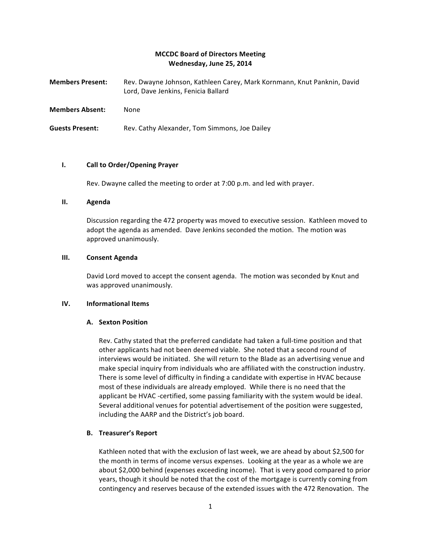# **MCCDC Board of Directors Meeting Wednesday, June 25, 2014**

| Members Present: | Rev. Dwayne Johnson, Kathleen Carey, Mark Kornmann, Knut Panknin, David |
|------------------|-------------------------------------------------------------------------|
|                  | Lord. Dave Jenkins. Fenicia Ballard                                     |
|                  |                                                                         |

**Members Absent:** None

**Guests Present:** Rev. Cathy Alexander, Tom Simmons, Joe Dailey

## **I.** Call to Order/Opening Prayer

Rev. Dwayne called the meeting to order at 7:00 p.m. and led with prayer.

### **II. Agenda**

Discussion regarding the 472 property was moved to executive session. Kathleen moved to adopt the agenda as amended. Dave Jenkins seconded the motion. The motion was approved unanimously.

## **III. Consent Agenda**

David Lord moved to accept the consent agenda. The motion was seconded by Knut and was approved unanimously.

### **IV. Informational Items**

# **A. Sexton Position**

Rev. Cathy stated that the preferred candidate had taken a full-time position and that other applicants had not been deemed viable. She noted that a second round of interviews would be initiated. She will return to the Blade as an advertising venue and make special inquiry from individuals who are affiliated with the construction industry. There is some level of difficulty in finding a candidate with expertise in HVAC because most of these individuals are already employed. While there is no need that the applicant be HVAC -certified, some passing familiarity with the system would be ideal. Several additional venues for potential advertisement of the position were suggested, including the AARP and the District's job board.

# **B. Treasurer's Report**

Kathleen noted that with the exclusion of last week, we are ahead by about \$2,500 for the month in terms of income versus expenses. Looking at the year as a whole we are about \$2,000 behind (expenses exceeding income). That is very good compared to prior years, though it should be noted that the cost of the mortgage is currently coming from contingency and reserves because of the extended issues with the 472 Renovation. The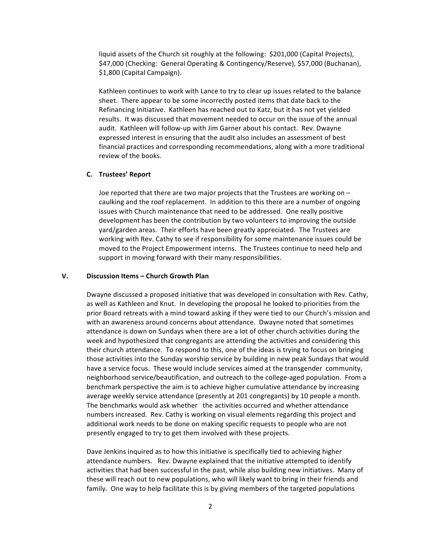liquid assets of the Church sit roughly at the following: \$201,000 (Capital Projects), \$47,000 (Checking: General Operating & Contingency/Reserve), \$57,000 (Buchanan), \$1,800 (Capital Campaign).

Kathleen continues to work with Lance to try to clear up issues related to the balance sheet. There appear to be some incorrectly posted items that date back to the Refinancing Initiative. Kathleen has reached out to Katz, but it has not yet yielded results. It was discussed that movement needed to occur on the issue of the annual audit. Kathleen will follow-up with Jim Garner about his contact. Rev. Dwayne expressed interest in ensuring that the audit also includes an assessment of best financial practices and corresponding recommendations, along with a more traditional review of the books.

### **C. Trustees' Report**

Joe reported that there are two major projects that the Trustees are working on  $$ caulking and the roof replacement. In addition to this there are a number of ongoing issues with Church maintenance that need to be addressed. One really positive development has been the contribution by two volunteers to improving the outside yard/garden areas. Their efforts have been greatly appreciated. The Trustees are working with Rev. Cathy to see if responsibility for some maintenance issues could be moved to the Project Empowerment interns. The Trustees continue to need help and support in moving forward with their many responsibilities.

#### **V. Discussion Items – Church Growth Plan**

Dwayne discussed a proposed initiative that was developed in consultation with Rev. Cathy, as well as Kathleen and Knut. In developing the proposal he looked to priorities from the prior Board retreats with a mind toward asking if they were tied to our Church's mission and with an awareness around concerns about attendance. Dwayne noted that sometimes attendance is down on Sundays when there are a lot of other church activities during the week and hypothesized that congregants are attending the activities and considering this their church attendance. To respond to this, one of the ideas is trying to focus on bringing those activities into the Sunday worship service by building in new peak Sundays that would have a service focus. These would include services aimed at the transgender community, neighborhood service/beautification, and outreach to the college-aged population. From a benchmark perspective the aim is to achieve higher cumulative attendance by increasing average weekly service attendance (presently at 201 congregants) by 10 people a month. The benchmarks would ask whether the activities occurred and whether attendance numbers increased. Rev. Cathy is working on visual elements regarding this project and additional work needs to be done on making specific requests to people who are not presently engaged to try to get them involved with these projects.

Dave Jenkins inquired as to how this initiative is specifically tied to achieving higher attendance numbers. Rev. Dwayne explained that the initiative attempted to identify activities that had been successful in the past, while also building new initiatives. Many of these will reach out to new populations, who will likely want to bring in their friends and family. One way to help facilitate this is by giving members of the targeted populations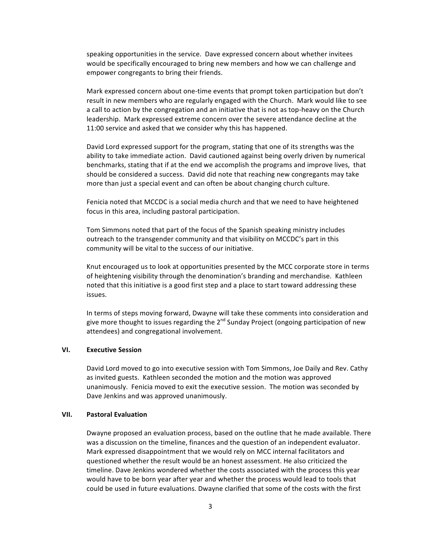speaking opportunities in the service. Dave expressed concern about whether invitees would be specifically encouraged to bring new members and how we can challenge and empower congregants to bring their friends.

Mark expressed concern about one-time events that prompt token participation but don't result in new members who are regularly engaged with the Church. Mark would like to see a call to action by the congregation and an initiative that is not as top-heavy on the Church leadership. Mark expressed extreme concern over the severe attendance decline at the 11:00 service and asked that we consider why this has happened.

David Lord expressed support for the program, stating that one of its strengths was the ability to take immediate action. David cautioned against being overly driven by numerical benchmarks, stating that if at the end we accomplish the programs and improve lives, that should be considered a success. David did note that reaching new congregants may take more than just a special event and can often be about changing church culture.

Fenicia noted that MCCDC is a social media church and that we need to have heightened focus in this area, including pastoral participation.

Tom Simmons noted that part of the focus of the Spanish speaking ministry includes outreach to the transgender community and that visibility on MCCDC's part in this community will be vital to the success of our initiative.

Knut encouraged us to look at opportunities presented by the MCC corporate store in terms of heightening visibility through the denomination's branding and merchandise. Kathleen noted that this initiative is a good first step and a place to start toward addressing these issues.

In terms of steps moving forward, Dwayne will take these comments into consideration and give more thought to issues regarding the  $2^{nd}$  Sunday Project (ongoing participation of new attendees) and congregational involvement.

### **VI. Executive Session**

David Lord moved to go into executive session with Tom Simmons, Joe Daily and Rev. Cathy as invited guests. Kathleen seconded the motion and the motion was approved unanimously. Fenicia moved to exit the executive session. The motion was seconded by Dave Jenkins and was approved unanimously.

#### **VII. Pastoral Evaluation**

Dwayne proposed an evaluation process, based on the outline that he made available. There was a discussion on the timeline, finances and the question of an independent evaluator. Mark expressed disappointment that we would rely on MCC internal facilitators and questioned whether the result would be an honest assessment. He also criticized the timeline. Dave Jenkins wondered whether the costs associated with the process this year would have to be born year after year and whether the process would lead to tools that could be used in future evaluations. Dwayne clarified that some of the costs with the first